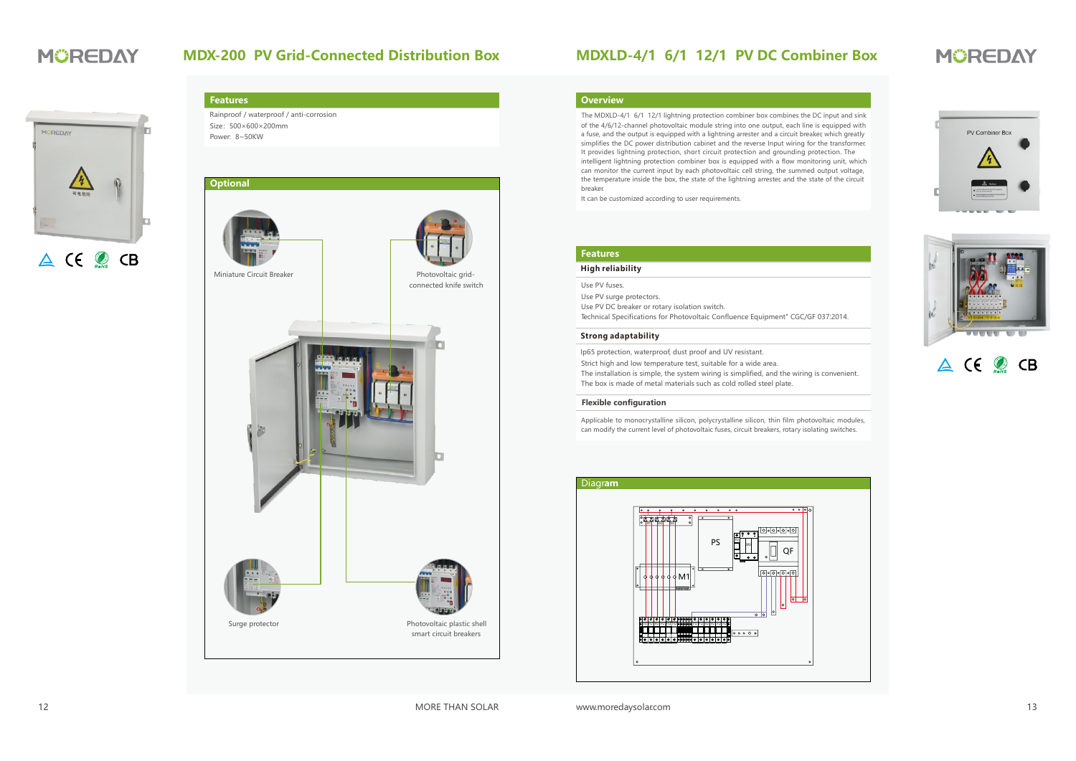## **MDXLD-4/1 6/1 12/1 PV DC Combiner Box**

# **MÜREDAY**

#### **Overview**

of the 4/6/12-channel photovoltaic module string into one output, each line is equipped with a fuse, and the output is equipped with a lightning arrester and a circuit breaker, which greatly simplifies the DC power distribution cabinet and the reverse Input wiring for the transformer. It provides lightning protection, short circuit protection and grounding protection. The intelligent lightning protection combiner box is equipped with a flow monitoring unit, which can monitor the current input by each photovoltaic cell string, the summed output voltage, the temperature inside the box, the state of the lightning arrester, and the state of the circuit breaker. The MDXLD-4/1 6/1 12/1 lightning protection combiner box combines the DC input and sink

It can be customized according to user requirements.

### **Features**

#### **High reliability**

Use PV fuses.

Use PV surge protectors. Use PV DC breaker or rotary isolation switch. Technical Specifications for Photovoltaic Confluence Equipment" CGC/GF 037:2014.

#### **Strong adaptability**

Ip65 protection, waterproof, dust proof and UV resistant.

Strict high and low temperature test, suitable for a wide area.

The installation is simple, the system wiring is simplified, and the wiring is convenient. The box is made of metal materials such as cold rolled steel plate.

#### **Flexible configuration**

Applicable to monocrystalline silicon, polycrystalline silicon, thin film photovoltaic modules, can modify the current level of photovoltaic fuses, circuit breakers, rotary isolating switches.







# A (E O CB